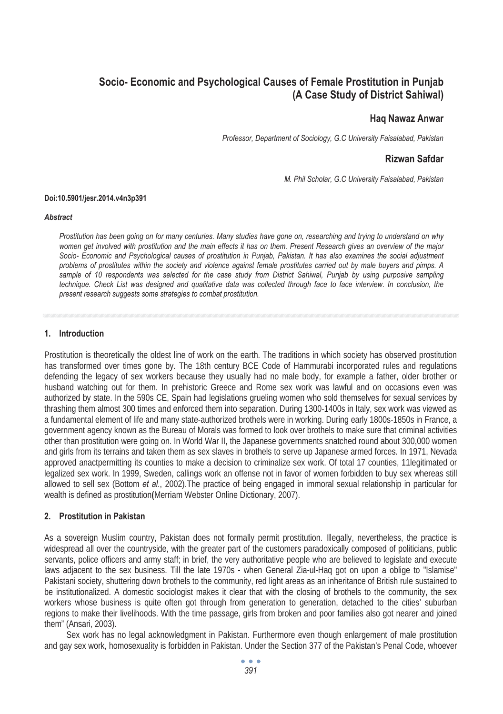# **Socio- Economic and Psychological Causes of Female Prostitution in Punjab (A Case Study of District Sahiwal)**

## **Haq Nawaz Anwar**

*Professor, Department of Sociology, G.C University Faisalabad, Pakistan* 

# **Rizwan Safdar**

*M. Phil Scholar, G.C University Faisalabad, Pakistan* 

#### **Doi:10.5901/jesr.2014.v4n3p391**

#### *Abstract*

*Prostitution has been going on for many centuries. Many studies have gone on, researching and trying to understand on why women get involved with prostitution and the main effects it has on them. Present Research gives an overview of the major*  Socio- Economic and Psychological causes of prostitution in Punjab, Pakistan. It has also examines the social adjustment *problems of prostitutes within the society and violence against female prostitutes carried out by male buyers and pimps. A*  sample of 10 respondents was selected for the case study from District Sahiwal, Punjab by using purposive sampling *technique. Check List was designed and qualitative data was collected through face to face interview. In conclusion, the present research suggests some strategies to combat prostitution.* 

### **1. Introduction**

Prostitution is theoretically the oldest line of work on the earth. The traditions in which society has observed prostitution has transformed over times gone by. The 18th century BCE Code of Hammurabi incorporated rules and regulations defending the legacy of sex workers because they usually had no male body, for example a father, older brother or husband watching out for them. In prehistoric Greece and Rome sex work was lawful and on occasions even was authorized by state. In the 590s CE, Spain had legislations grueling women who sold themselves for sexual services by thrashing them almost 300 times and enforced them into separation. During 1300-1400s in Italy, sex work was viewed as a fundamental element of life and many state-authorized brothels were in working. During early 1800s-1850s in France, a government agency known as the Bureau of Morals was formed to look over brothels to make sure that criminal activities other than prostitution were going on. In World War II, the Japanese governments snatched round about 300,000 women and girls from its terrains and taken them as sex slaves in brothels to serve up Japanese armed forces. In 1971, Nevada approved anactpermitting its counties to make a decision to criminalize sex work. Of total 17 counties, 11legitimated or legalized sex work. In 1999, Sweden, callings work an offense not in favor of women forbidden to buy sex whereas still allowed to sell sex (Bottom *et al*., 2002).The practice of being engaged in immoral sexual relationship in particular for wealth is defined as prostitution**(**Merriam Webster Online Dictionary, 2007).

### **2. Prostitution in Pakistan**

As a sovereign Muslim country, Pakistan does not formally permit prostitution. Illegally, nevertheless, the practice is widespread all over the countryside, with the greater part of the customers paradoxically composed of politicians, public servants, police officers and army staff; in brief, the very authoritative people who are believed to legislate and execute laws adjacent to the sex business. Till the late 1970s - when General Zia-ul-Haq got on upon a oblige to "Islamise" Pakistani society, shuttering down brothels to the community, red light areas as an inheritance of British rule sustained to be institutionalized. A domestic sociologist makes it clear that with the closing of brothels to the community, the sex workers whose business is quite often got through from generation to generation, detached to the cities' suburban regions to make their livelihoods. With the time passage, girls from broken and poor families also got nearer and joined them" (Ansari, 2003).

Sex work has no legal acknowledgment in Pakistan. Furthermore even though enlargement of male prostitution and gay sex work, homosexuality is forbidden in Pakistan. Under the Section 377 of the Pakistan's Penal Code, whoever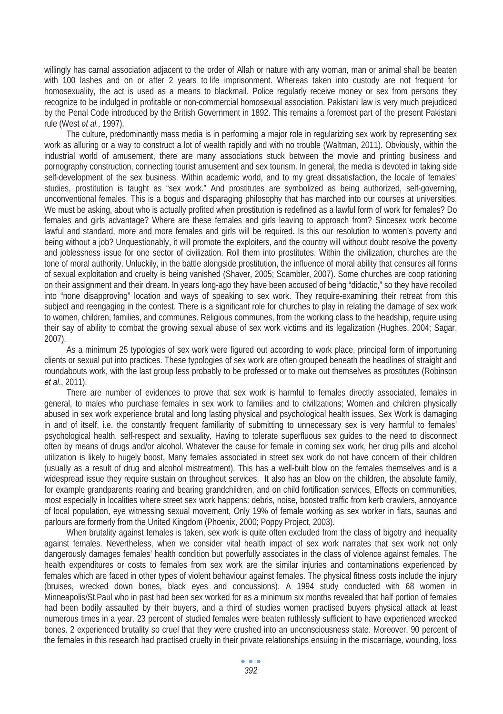willingly has carnal association adjacent to the order of Allah or nature with any woman, man or animal shall be beaten with 100 lashes and on or after 2 years to life imprisonment. Whereas taken into custody are not frequent for homosexuality, the act is used as a means to blackmail. Police regularly receive money or sex from persons they recognize to be indulged in profitable or non-commercial homosexual association. Pakistani law is very much prejudiced by the Penal Code introduced by the British Government in 1892. This remains a foremost part of the present Pakistani rule (West *et al.,* 1997).

The culture, predominantly mass media is in performing a major role in regularizing sex work by representing sex work as alluring or a way to construct a lot of wealth rapidly and with no trouble (Waltman, 2011). Obviously, within the industrial world of amusement, there are many associations stuck between the movie and printing business and pornography construction, connecting tourist amusement and sex tourism. In general, the media is devoted in taking side self-development of the sex business. Within academic world, and to my great dissatisfaction, the locale of females' studies, prostitution is taught as "sex work." And prostitutes are symbolized as being authorized, self-governing, unconventional females. This is a bogus and disparaging philosophy that has marched into our courses at universities. We must be asking, about who is actually profited when prostitution is redefined as a lawful form of work for females? Do females and girls advantage? Where are these females and girls leaving to approach from? Sincesex work become lawful and standard, more and more females and girls will be required. Is this our resolution to women's poverty and being without a job? Unquestionably, it will promote the exploiters, and the country will without doubt resolve the poverty and joblessness issue for one sector of civilization. Roll them into prostitutes. Within the civilization, churches are the tone of moral authority. Unluckily, in the battle alongside prostitution, the influence of moral ability that censures all forms of sexual exploitation and cruelty is being vanished (Shaver, 2005; Scambler, 2007). Some churches are coop rationing on their assignment and their dream. In years long-ago they have been accused of being "didactic," so they have recoiled into "none disapproving" location and ways of speaking to sex work. They require-examining their retreat from this subject and reengaging in the contest. There is a significant role for churches to play in relating the damage of sex work to women, children, families, and communes. Religious communes, from the working class to the headship, require using their say of ability to combat the growing sexual abuse of sex work victims and its legalization (Hughes, 2004; Sagar, 2007).

As a minimum 25 typologies of sex work were figured out according to work place, principal form of importuning clients or sexual put into practices. These typologies of sex work are often grouped beneath the headlines of straight and roundabouts work, with the last group less probably to be professed or to make out themselves as prostitutes (Robinson *et al*., 2011).

There are number of evidences to prove that sex work is harmful to females directly associated, females in general, to males who purchase females in sex work to families and to civilizations; Women and children physically abused in sex work experience brutal and long lasting physical and psychological health issues, Sex Work is damaging in and of itself, i.e. the constantly frequent familiarity of submitting to unnecessary sex is very harmful to females' psychological health, self-respect and sexuality, Having to tolerate superfluous sex guides to the need to disconnect often by means of drugs and/or alcohol. Whatever the cause for female in coming sex work, her drug pills and alcohol utilization is likely to hugely boost, Many females associated in street sex work do not have concern of their children (usually as a result of drug and alcohol mistreatment). This has a well-built blow on the females themselves and is a widespread issue they require sustain on throughout services. It also has an blow on the children, the absolute family, for example grandparents rearing and bearing grandchildren, and on child fortification services, Effects on communities, most especially in localities where street sex work happens: debris, noise, boosted traffic from kerb crawlers, annoyance of local population, eye witnessing sexual movement, Only 19% of female working as sex worker in flats, saunas and parlours are formerly from the United Kingdom (Phoenix, 2000; Poppy Project, 2003).

When brutality against females is taken, sex work is quite often excluded from the class of bigotry and inequality against females. Nevertheless, when we consider vital health impact of sex work narrates that sex work not only dangerously damages females' health condition but powerfully associates in the class of violence against females. The health expenditures or costs to females from sex work are the similar injuries and contaminations experienced by females which are faced in other types of violent behaviour against females. The physical fitness costs include the injury (bruises, wrecked down bones, black eyes and concussions). A 1994 study conducted with 68 women in Minneapolis/St.Paul who in past had been sex worked for as a minimum six months revealed that half portion of females had been bodily assaulted by their buyers, and a third of studies women practised buyers physical attack at least numerous times in a year. 23 percent of studied females were beaten ruthlessly sufficient to have experienced wrecked bones. 2 experienced brutality so cruel that they were crushed into an unconsciousness state. Moreover, 90 percent of the females in this research had practised cruelty in their private relationships ensuing in the miscarriage, wounding, loss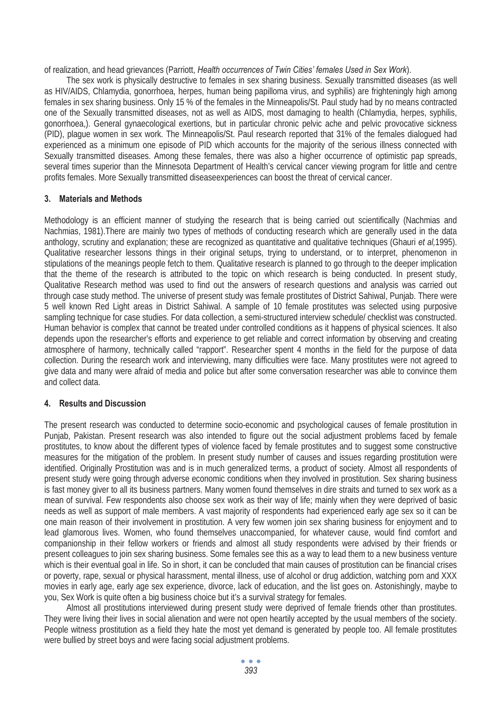of realization, and head grievances (Parriott, *Health occurrences of Twin Cities' females Used in Sex Work*).

The sex work is physically destructive to females in sex sharing business. Sexually transmitted diseases (as well as HIV/AIDS, Chlamydia, gonorrhoea, herpes, human being papilloma virus, and syphilis) are frighteningly high among females in sex sharing business. Only 15 % of the females in the Minneapolis/St. Paul study had by no means contracted one of the Sexually transmitted diseases, not as well as AIDS, most damaging to health (Chlamydia, herpes, syphilis, gonorrhoea,). General gynaecological exertions, but in particular chronic pelvic ache and pelvic provocative sickness (PID), plague women in sex work. The Minneapolis/St. Paul research reported that 31% of the females dialogued had experienced as a minimum one episode of PID which accounts for the majority of the serious illness connected with Sexually transmitted diseases. Among these females, there was also a higher occurrence of optimistic pap spreads, several times superior than the Minnesota Department of Health's cervical cancer viewing program for little and centre profits females. More Sexually transmitted diseaseexperiences can boost the threat of cervical cancer.

### **3. Materials and Methods**

Methodology is an efficient manner of studying the research that is being carried out scientifically (Nachmias and Nachmias, 1981).There are mainly two types of methods of conducting research which are generally used in the data anthology, scrutiny and explanation; these are recognized as quantitative and qualitative techniques (Ghauri *et al,*1995). Qualitative researcher lessons things in their original setups, trying to understand, or to interpret, phenomenon in stipulations of the meanings people fetch to them. Qualitative research is planned to go through to the deeper implication that the theme of the research is attributed to the topic on which research is being conducted. In present study, Qualitative Research method was used to find out the answers of research questions and analysis was carried out through case study method. The universe of present study was female prostitutes of District Sahiwal, Punjab. There were 5 well known Red Light areas in District Sahiwal. A sample of 10 female prostitutes was selected using purposive sampling technique for case studies. For data collection, a semi-structured interview schedule/ checklist was constructed. Human behavior is complex that cannot be treated under controlled conditions as it happens of physical sciences. It also depends upon the researcher's efforts and experience to get reliable and correct information by observing and creating atmosphere of harmony, technically called "rapport". Researcher spent 4 months in the field for the purpose of data collection. During the research work and interviewing, many difficulties were face. Many prostitutes were not agreed to give data and many were afraid of media and police but after some conversation researcher was able to convince them and collect data.

### **4. Results and Discussion**

The present research was conducted to determine socio-economic and psychological causes of female prostitution in Punjab, Pakistan. Present research was also intended to figure out the social adjustment problems faced by female prostitutes, to know about the different types of violence faced by female prostitutes and to suggest some constructive measures for the mitigation of the problem. In present study number of causes and issues regarding prostitution were identified. Originally Prostitution was and is in much generalized terms, a product of society. Almost all respondents of present study were going through adverse economic conditions when they involved in prostitution. Sex sharing business is fast money giver to all its business partners. Many women found themselves in dire straits and turned to sex work as a mean of survival. Few respondents also choose sex work as their way of life; mainly when they were deprived of basic needs as well as support of male members. A vast majority of respondents had experienced early age sex so it can be one main reason of their involvement in prostitution. A very few women join sex sharing business for enjoyment and to lead glamorous lives. Women, who found themselves unaccompanied, for whatever cause, would find comfort and companionship in their fellow workers or friends and almost all study respondents were advised by their friends or present colleagues to join sex sharing business. Some females see this as a way to lead them to a new business venture which is their eventual goal in life. So in short, it can be concluded that main causes of prostitution can be financial crises or poverty, rape, sexual or physical harassment, mental illness, use of alcohol or drug addiction, watching porn and XXX movies in early age, early age sex experience, divorce, lack of education, and the list goes on. Astonishingly, maybe to you, Sex Work is quite often a big business choice but it's a survival strategy for females.

Almost all prostitutions interviewed during present study were deprived of female friends other than prostitutes. They were living their lives in social alienation and were not open heartily accepted by the usual members of the society. People witness prostitution as a field they hate the most yet demand is generated by people too. All female prostitutes were bullied by street boys and were facing social adjustment problems.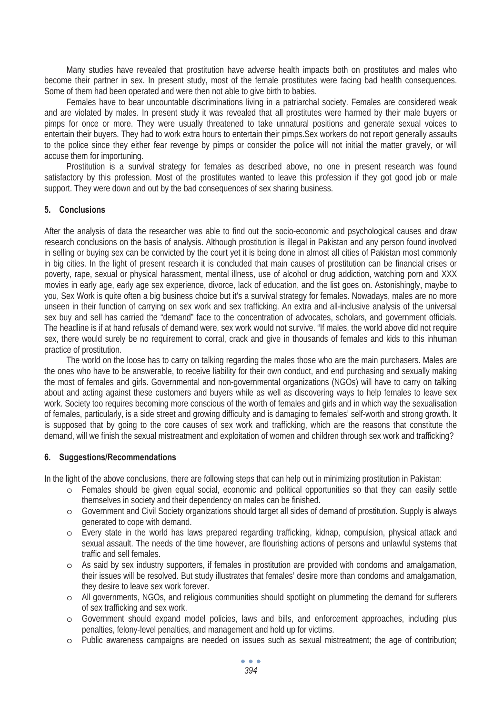Many studies have revealed that prostitution have adverse health impacts both on prostitutes and males who become their partner in sex. In present study, most of the female prostitutes were facing bad health consequences. Some of them had been operated and were then not able to give birth to babies.

Females have to bear uncountable discriminations living in a patriarchal society. Females are considered weak and are violated by males. In present study it was revealed that all prostitutes were harmed by their male buyers or pimps for once or more. They were usually threatened to take unnatural positions and generate sexual voices to entertain their buyers. They had to work extra hours to entertain their pimps.Sex workers do not report generally assaults to the police since they either fear revenge by pimps or consider the police will not initial the matter gravely, or will accuse them for importuning.

Prostitution is a survival strategy for females as described above, no one in present research was found satisfactory by this profession. Most of the prostitutes wanted to leave this profession if they got good job or male support. They were down and out by the bad consequences of sex sharing business.

### **5. Conclusions**

After the analysis of data the researcher was able to find out the socio-economic and psychological causes and draw research conclusions on the basis of analysis. Although prostitution is illegal in Pakistan and any person found involved in selling or buying sex can be convicted by the court yet it is being done in almost all cities of Pakistan most commonly in big cities. In the light of present research it is concluded that main causes of prostitution can be financial crises or poverty, rape, sexual or physical harassment, mental illness, use of alcohol or drug addiction, watching porn and XXX movies in early age, early age sex experience, divorce, lack of education, and the list goes on. Astonishingly, maybe to you, Sex Work is quite often a big business choice but it's a survival strategy for females. Nowadays, males are no more unseen in their function of carrying on sex work and sex trafficking. An extra and all-inclusive analysis of the universal sex buy and sell has carried the "demand" face to the concentration of advocates, scholars, and government officials. The headline is if at hand refusals of demand were, sex work would not survive. "If males, the world above did not require sex, there would surely be no requirement to corral, crack and give in thousands of females and kids to this inhuman practice of prostitution.

The world on the loose has to carry on talking regarding the males those who are the main purchasers. Males are the ones who have to be answerable, to receive liability for their own conduct, and end purchasing and sexually making the most of females and girls. Governmental and non-governmental organizations (NGOs) will have to carry on talking about and acting against these customers and buyers while as well as discovering ways to help females to leave sex work. Society too requires becoming more conscious of the worth of females and girls and in which way the sexualisation of females, particularly, is a side street and growing difficulty and is damaging to females' self-worth and strong growth. It is supposed that by going to the core causes of sex work and trafficking, which are the reasons that constitute the demand, will we finish the sexual mistreatment and exploitation of women and children through sex work and trafficking?

### **6. Suggestions/Recommendations**

In the light of the above conclusions, there are following steps that can help out in minimizing prostitution in Pakistan:

- o Females should be given equal social, economic and political opportunities so that they can easily settle themselves in society and their dependency on males can be finished.
- o Government and Civil Society organizations should target all sides of demand of prostitution. Supply is always generated to cope with demand.
- o Every state in the world has laws prepared regarding trafficking, kidnap, compulsion, physical attack and sexual assault. The needs of the time however, are flourishing actions of persons and unlawful systems that traffic and sell females.
- o As said by sex industry supporters, if females in prostitution are provided with condoms and amalgamation, their issues will be resolved. But study illustrates that females' desire more than condoms and amalgamation, they desire to leave sex work forever.
- o All governments, NGOs, and religious communities should spotlight on plummeting the demand for sufferers of sex trafficking and sex work.
- o Government should expand model policies, laws and bills, and enforcement approaches, including plus penalties, felony-level penalties, and management and hold up for victims.
- o Public awareness campaigns are needed on issues such as sexual mistreatment; the age of contribution;